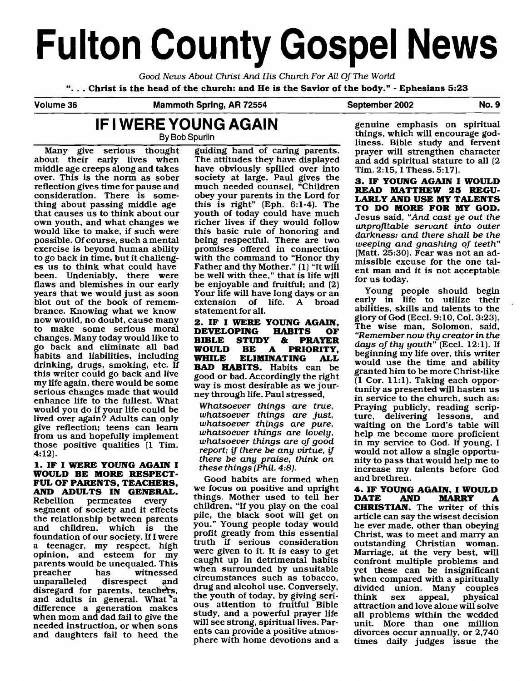# **Fulton County Gospel News**

Good News About Christ And His Church For All Of The World

". . . **Christ is the head of the church: and He is the Savior of the body."** - **Ephesians 5:23** 

**Volume 36 Mammoth Spring, AR 72554 September 2002 No. 9** 

## **IF I WERE YOUNG AGAIN**

By **Bob Spurlin** 

Many give serious thought about their early lives when middle age creeps along and takes over. This is the norm as sober reflection gives time for pause and consideration. There is something about passing middle age that causes us to think about our own youth, and what changes we would like to make, if such were possible. Of course, such a mental exercise is beyond human ability to go back in time, but it challenges us to think what could have been. Undeniably, there were flaws and blemishes in our early years that we would just as soon blot out of the book of remembrance. Knowing what we know now would, no doubt, cause many to make some serious moral changes. Many today would like to go back and eliminate all bad habits and liabilities, including drinking, drugs, smoking, etc. If this writer could go back and live my life again, there would be some serious changes made that would enhance life to the fullest. What would you do if your life could be lived over again? Adults can only give reflection; teens can learn from us and hopefully implement those positive qualities (1 Tim. 4:12).

## **1. IF I WERE YOUNG AGAIN I WOULD BE MORE RESPECT-FUL OF PARENTS, TEACHERS,**

**AND ADULTS IN GENERAL.**<br>Rebellion permeates every permeates segment of society and it effects the relationship between parents<br>and children, which is the children, which is the foundation of our society. If I were a teenager, my respect, high opinion, and esteem for my parents would be unequaled. This<br>preacher has witnessed as witnessed<br>disrespect and unparalleled disrespect and disregard for parents, teachers, and adults in general. What a difference a generation makes when mom and dad fail to give the needed instruction, or when sons and daughters fail to heed the

guiding hand of caring parents. The attitudes they have displayed have obviously spilled over into society at large. Paul gives the much needed counsel, "Children obey your parents in the Lord for this is right" (Eph. 6:l-4). The youth of today could have much richer lives if they would follow this basic rule of honoring and being respectful. There are two promises offered in connection with the command to "Honor thy Father and thy Mother." (1) "It will be well with thee," that is life will be enjoyable and fruitful; and (2) Your life will have long days or an extension of life. A broad statement for all.

**2. IF I WERE YOUNG AGAIN, DEVELOPING<br>BIBLE STUDY BIBLE STUDY** & **PRAYER WOULD BE A PRIORITY, WHILE ELIMINATING ALL BAD HABITS.** Habits can be good or bad. Accordingly the right way is most desirable as we journey through life. Paul stressed,

Whatsoever things are true, whatsoever things are just, whatsoever things are pure, whatsoever things are lovely, whatsoever things are of good report; if there be any virtue, if there be any praise, think on these things [Phil. **4:8).** 

Good habits are formed when we focus on positive and upright things. Mother used to tell her children, "If you play on the coal pile, the black soot will get on you." Young people today would profit greatly from this essential truth if serious consideration were given to it. It is easy to get caught up in detrimental habits when surrounded by unsuitable circumstances such as tobacco, drug and alcohol use. Conversely, the youth of today, by giving serious attention to fruitful Bible study, and a powerful prayer life will see strong, spiritual lives. Parents can provide a positive atmosphere with home devotions and a genuine emphasis on spiritual things, which will encourage godliness. Bible study and fervent prayer will strengthen character and add spiritual stature to all (2 Tim. 2:15,1 Thess. 5:17).

**3. IF YOUNG AGAIN I WOULD READ MATTHEW 26 REGU-LARLYANDUSEMYTALENTS TO DO MORE FOR MY GOD.**  Jesus said, "And cast ye out the unprofitable servant into outer darkness: and there shall be the weeping and gnashing of teeth" (Matt. 25:30). Fear was not an admissible excuse for the one talent man and it is not acceptable for us today.

Young people should begin early in life to utilize their abilities, skills and talents to the glory of God (Eccl. 9:10, Col. 3:23). The wise man, Solomon, said, "Remember now thy creator in the days of thy youth"  $($ Eccl. 12:1 $)$ . If beginning my life over, this writer would use the time and ability granted him to be more Christ-like (1 Cor. 11:l). Taking each opportunity as presented will hasten us in service to the church, such as: Praying publicly, reading scripture, delivering lessons, and waiting on the Lord's table will help me become more proficient in my service to God. If young, I would not allow a single opportunity to pass that would help me to increase my talents before God and brethren.

**4. IF YOUNG AGAIN, I WOULD MARRY CHRISTIAN.** The writer of this article can say the wisest decision he ever made, other than obeying Christ, was to meet and many an outstanding Christian woman. Marriage, at the very best, will confront multiple problems and yet these can be insignificant when compared with a spiritually divided union. Many couples physical attraction and love alone will solve all problems within the wedded unit. More than one million divorces occur annually, or 2,740 times daily judges issue the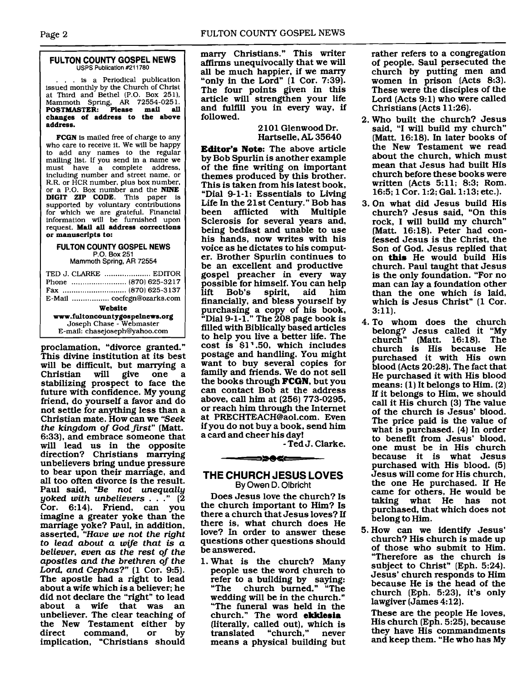#### **FULTON COUNTY GOSPEL NEWS USPS Publication #211780**

... is a Periodical publication issued monthly by the Church of Christ at Third and Bethel (P.O. Box **2511,**  Mammoth Spring, **AR 72554-025 1. POSTMASTER: Please mail all changes of address to the above address.** 

**FCGN** is mailed free of charge to any who care to receive it. We will be happy to add any names to the regular mailing list. If you send in a name we<br>must have a complete address,<br>including number and street name, or including number and street name, or R.R. or HCR number, plus box number, or a P.O. Box number and the **NINE DIGIT ZIP CODE.** This paper is supported by voluntary contributions for which we are grateful. Financial information will be furnished upon request. **Mail all address corrections or manuscripts to:** 

#### **FULTON COUNTY GOSPEL NEWS P.O.** Box 251 Mammoth Spring, AR 72554

| TED J. CLARKE  EDITOR<br>E-Mail  cocfcgn@ozarks.com                                                    |
|--------------------------------------------------------------------------------------------------------|
| Website<br>www.fultoncountygospelnews.org<br>Joseph Chase - Webmaster<br>E-mail: chasejoseph@yahoo.com |

proclamation, "divorce granted." This divine institution at its best will be difficult, but marrying a<br>Christian will give one a Christian stabilizing prospect to face the future with confidence. My young friend, do yourself a favor and do not settle for anything less than a Christian mate. How can we "Seek the kingdom of God first" (Matt. 6:33), and embrace someone that will lead us in the opposite direction? Christians marrying unbelievers bring undue pressure to bear upon their marriage, and all too often divorce is the result. Paul said, "Be not unequally yoked with unbelievers  $\ldots$  ." (2) Cor. 6:14). Friend, can you imagine a greater yoke than the marriage yoke? Paul, in addition, asserted, "Have we not the right to lead about a wife that is a believer, even as the rest of the apostles and the brethren of the Lord, and Cephas?" (1 Cor. 9:5). The apostle had a right to lead about a wife which is a believer; he did not declare the "right" to lead about a wife that was an unbeliever. The clear teaching of the New Testament either by direct command, or by implication, "Christians should

many Christians." This writer affirms unequivocally that we will all be much happier, if we marry "only in the Lord" (1 Cor. 7:39). The four points given in this article will strengthen your life and fulfill you in every way, if followed.

### 2 101 Glenwood Dr. Hartselle, **AL** 35640

Editor's Note: The above article by Bob Spurlin is another example of the fine writing on important themes produced by this brother. This is taken from his latest book, "Dial 9-1-1: Essentials to Living Life In the 21st Century." Bob has<br>been afflicted with Multiple afflicted with Multiple Sclerosis for several years and, being bedfast and unable to use his hands, now writes with his voice as he dictates to his computer. Brother Spurlin continues to be an excellent and productive gospel preacher in every way possible for himself. You can help<br>lift Bob's spirit, aid him Bob's financially, and bless yourself by purchasing a copy of his book, "Dial 9-1-1." The 208 page book is filled with Biblically based articles to help you live a better life. The cost is **\$1** ' .50, which includes postage and handling. You might want to buy several copies for family and friends. We do not sell the books through FCGN, but you can contact Bob at the address above, call him at (256) 773-0295, or reach him through the Internet at PRECHTEACH@aol.com. Even if you do not buy a book, send him a card and cheer his day!<br>Fed J. Clarke. is \$1'.50, which includes<br>is \$1'.50, which includes<br>age and handling. You might<br>t to buy several copies for<br>ly and friends. We do not sell<br>looks through **FCGN**, but you<br>contact Bob at the address<br>e, call him at (256) 773-0

## **THE CHURCH JESUS LOVES By Owen D. Olbricht**

Does Jesus love the church? Is the church important to Him? Is there a church that Jesus loves? If there is, what church does He love? In order to answer these questions other questions should be answered.

1. What is the church? Many people use the word church to refer to a building by saying:<br>"The church burned." "The church burned." "The wedding will be in the church." "The funeral was held in the church." The word ekklesia (literally, called out), which is<br>translated "church," never "church," means a physical building but rather refers to a congregation of people. Saul persecuted the church by putting men and women in prison (Acts 8:3). These were the disciples of the Lord (Acts 9:l) who were called Christians (Acts 11:26).

- Who built the church? Jesus said, "I will build my church" (Matt. 16:18). In later books of the New Testament we read about the church, which must mean that Jesus had built His church before these books were written (Acts 5:ll; 8:3; Rom. 16:5; 1 Cor. 1:2; Gal. 1:13; etc.).
- 3. On what did Jesus build His church? Jesus said, "On this rock, I will build my church" (Matt. 16:18). Peter had confessed Jesus is the Christ, the Son of God. Jesus replied that on this He would build His church. Paul taught that Jesus is the only foundation. "For no man can lay a foundation other than the one which is laid, which is Jesus Christ" (1 Cor. 3:ll).
- 4. To whom does the church belong? Jesus called it "My church" (Matt. 16:18). The church is His because He purchased it with His own blood (Acts 20:28). The fact that He purchased it with His blood means: (1) It belongs to Him. (2) If it belongs to Him, we should call it His church (3) The value of the church is Jesus' blood. The price paid is the value of what is purchased. (4) In order to benefit from Jesus' blood, one must be in His church because it is what Jesus purchased with His blood. (5) Jesus will come for His church, the one He purchased. If He came for others, He would be taking what He has not purchased, that which does not belong to Him.
- 5. How can we identify Jesus' church? His church is made up of those who submit to Him. "Therefore as the church is subject to Christ" (Eph. 5:24). Jesus\* church responds to Him because He is the head of the church (Eph. 5:23), it's only lawgiver (James 4:12).

These are the people He loves, His church (Eph. 5:25). because they have His commandments and keep them. "He who has My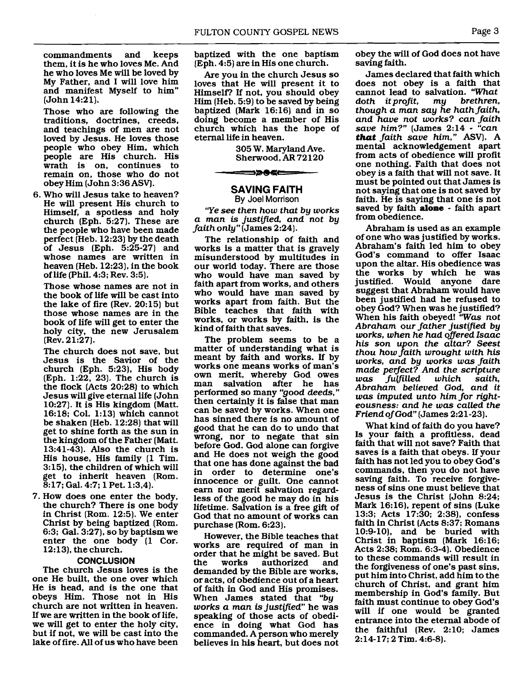commandments and keeps them, it is he who loves Me. And he who loves Me will be loved by My Father, and I will love him and manifest Myself to him" (John 14:21).

Those who are following the traditions, doctrines, creeds, and teachings of men are not loved by Jesus. He loves those people who obey Him, which people are His church. His wrath is on, continues to remain on, those who do not obey Him (John 3:36 ASVJ.

6. Who will Jesus take to heaven? He will present His church to Himself, a spotless and holy church (Eph. 5:27). These are the people who have been made perfect [Heb. 12:23) by the death of Jesus (Eph. 5:25-27) and whose names are written in heaven (Heb. 12:23), in the book of life (Phil. 4:3; Rev. 3:5).

Those whose names are not in the book of life will be cast into the lake of fire (Rev. 20:15) but those whose names are in the book of life will get to enter the holy city, the new Jerusalem (Rev. 21:27].

The church does not save, but Jesus is the Savior of the church (Eph. 5:23), His body (Eph. 1:22, 23). The church is the flock (Acts 20:28) to which Jesus will give eternal life (John 10:27). It is His kingdom (Matt. 16:18; Col. 1:13) which cannot be shaken (Heb. 12:28) that will get to shine forth as the sun in the kingdom of the Father (Matt. 13:41-43). Also the church is His house, His family (1 Tim. 3:15), the children of which will get to inherit heaven (Rom. 8:17; Gal. 4:7; 1 Pet. 1:3.4).

7. How does one enter the body. the church? There is one body in Christ (Rom. 12:5). We enter Christ by being baptized (Rom. 6:3; Gal. 3:27), so by baptism we enter the one body (1 Cor. 12:13), the church.

#### **CONCLUSION**

The church Jesus loves is the one He built, the one over which He is head, and is the one that obeys Him. Those not in His church are not written in heaven. If we are written in the book of life, we will get to enter the holy city, but if not, we will be cast into the lake of fire. All of us who have been

baptized with the one baptism [Eph. 4:5) are in His one church.

Are you in the church Jesus so loves that He will present it to Himself? If not, you should obey Him (Heb. 5:9) to be saved by being baptized (Mark 16:16) and in so doing become a member of His church which has the hope of eternal life in heaven.

> 305 W. Maryland Ave. Sherwood, **AR** 72120

#### **SAVING FAITH By** Joel Morrison

➡⋗●⋖⋿

"Ye see then how that by works a man is justified, and not by faith only'' (James 2:24).

The relationship of faith and works is a matter that is gravely misunderstood by multitudes in our world today. There are those who would have man saved by faith apart from works, and others who would have man saved by works apart from faith. But the Bible teaches that faith with works, or works by faith, is the kind of faith that saves.

The problem seems to be a matter of understanding what is meant by faith and works. If by works one means works of man's own merit, whereby God owes man salvation after he has performed so many "good deeds," then certainly it is false that man can be saved by works. When one has sinned there is no amount of good that he can do to undo that wrong, nor to negate that sin before God. God alone can forgive and He does not weigh the good that one has done against the bad in order to determine one's innocence or guilt. One cannot earn nor merit salvation regardless of the good he may do in his lifetime. Salvation is a free gift of God that no amount of works can purchase (Rom. 6:23).

However, the Bible teaches that works are required of man in order that he might be saved. But<br>the works authorized and authorized demanded by the Bible are works, or acts, of obedience out of a heart of faith in God and His promises. When James stated that "by works a man is justified" he was speaking of those acts of obedience in doing what God has commanded. A person who merely believes in his heart, but does not obey the will of God does not have saving faith.

James declared that faith which does not obey is a faith that cannot lead to salvation. "What doth it profit, my brethren,  $doth$  it profit, though a man say he hath faith, and have not works? can faith save him?" (James 2:14 - "can that faith save him," ASV). A mental acknowledgement apart from acts of obedience will profit one nothing. Faith that does not obey is a faith that will not save. It must be pointed out that James is not saying that one is not saved by faith. He is saying that one is not saved by faith **alone** - faith apart from obedience.

Abraham is used as an example of one who was justified by works. Abraham's faith led him to obey God's command to offer Isaac upon the altar. His obedience was the works by which he was justified. Would anyone dare suggest that Abraham would have been justified had he refused to obey God? When was he justified? When his faith obeyed! "Was not Abraham our father justified by works, when he had offered Isaac his son upon the altar? Seest thou how faith wrought with his works, and by works was faith made perfect? And the scripture fulfilled Abraham believed God, and it was imputed unto him for nghteousness: and he was called the Friend of God" [James 2:21-23).

What kind of faith do you have? Is your faith a profitless, dead faith that will not save? Faith that saves is a faith that obeys. If your faith has not led you to obey God's commands, then you do not have saving faith. To receive forgiveness of sins one must believe that Jesus is the Christ (John 8:24; Mark 16:16), repent of sins (Luke 13:3; Acts 17:30; 2:38), confess faith in Christ (Acts 8:37; Romans 10:9-10). and be buried with Christ in baptism (Mark 16:16; Acts 2:38; Rom. 6:3-4). Obedience to these commands will result in the forgiveness of one's past sins, put him into Christ, add him to the church of Christ, and grant him membership in God's family. But faith must continue to obey God's will if one would be granted entrance into the eternal abode of the faithful (Rev. 2:lO; James 2:14-17; 2 Tim. 4:6-8).